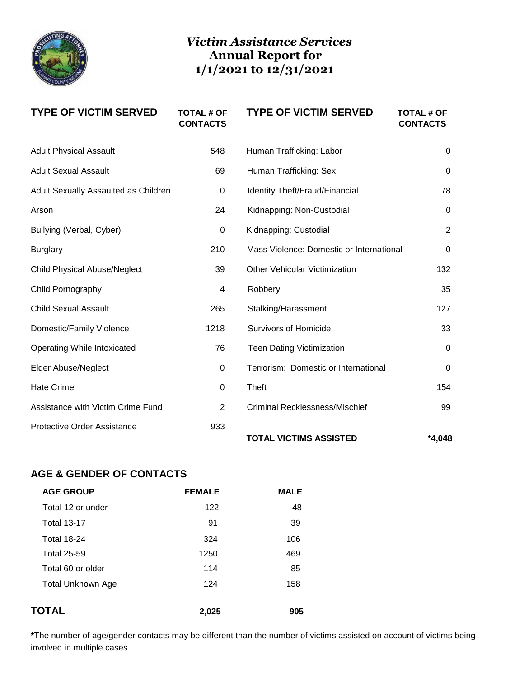

## *Victim Assistance Services* **Annual Report for 1/1/2021 to 12/31/2021**

| <b>TYPE OF VICTIM SERVED</b>         | <b>TOTAL # OF</b><br><b>CONTACTS</b> | <b>TYPE OF VICTIM SERVED</b>             | <b>TOTAL # OF</b><br><b>CONTACTS</b> |
|--------------------------------------|--------------------------------------|------------------------------------------|--------------------------------------|
| <b>Adult Physical Assault</b>        | 548                                  | Human Trafficking: Labor                 | $\mathbf{0}$                         |
| <b>Adult Sexual Assault</b>          | 69                                   | Human Trafficking: Sex                   | $\mathbf{0}$                         |
| Adult Sexually Assaulted as Children | 0                                    | Identity Theft/Fraud/Financial           | 78                                   |
| Arson                                | 24                                   | Kidnapping: Non-Custodial                | $\Omega$                             |
| Bullying (Verbal, Cyber)             | $\pmb{0}$                            | Kidnapping: Custodial                    | $\overline{2}$                       |
| <b>Burglary</b>                      | 210                                  | Mass Violence: Domestic or International | $\mathbf 0$                          |
| <b>Child Physical Abuse/Neglect</b>  | 39                                   | <b>Other Vehicular Victimization</b>     | 132                                  |
| Child Pornography                    | 4                                    | Robbery                                  | 35                                   |
| <b>Child Sexual Assault</b>          | 265                                  | Stalking/Harassment                      | 127                                  |
| Domestic/Family Violence             | 1218                                 | <b>Survivors of Homicide</b>             | 33                                   |
| <b>Operating While Intoxicated</b>   | 76                                   | <b>Teen Dating Victimization</b>         | $\mathbf 0$                          |
| <b>Elder Abuse/Neglect</b>           | 0                                    | Terrorism: Domestic or International     | $\Omega$                             |
| <b>Hate Crime</b>                    | 0                                    | Theft                                    | 154                                  |
| Assistance with Victim Crime Fund    | $\overline{2}$                       | <b>Criminal Recklessness/Mischief</b>    | 99                                   |
| <b>Protective Order Assistance</b>   | 933                                  | <b>TOTAL VICTIMS ASSISTED</b>            | $*4.048$                             |

## **AGE & GENDER OF CONTACTS**

| <b>AGE GROUP</b>         | <b>FEMALE</b> | <b>MALE</b> |
|--------------------------|---------------|-------------|
| Total 12 or under        | 122           | 48          |
| <b>Total 13-17</b>       | 91            | 39          |
| <b>Total 18-24</b>       | 324           | 106         |
| <b>Total 25-59</b>       | 1250          | 469         |
| Total 60 or older        | 114           | 85          |
| <b>Total Unknown Age</b> | 124           | 158         |
|                          |               |             |
| TOTAL                    | 2,025         | 905         |

**\***The number of age/gender contacts may be different than the number of victims assisted on account of victims being involved in multiple cases.